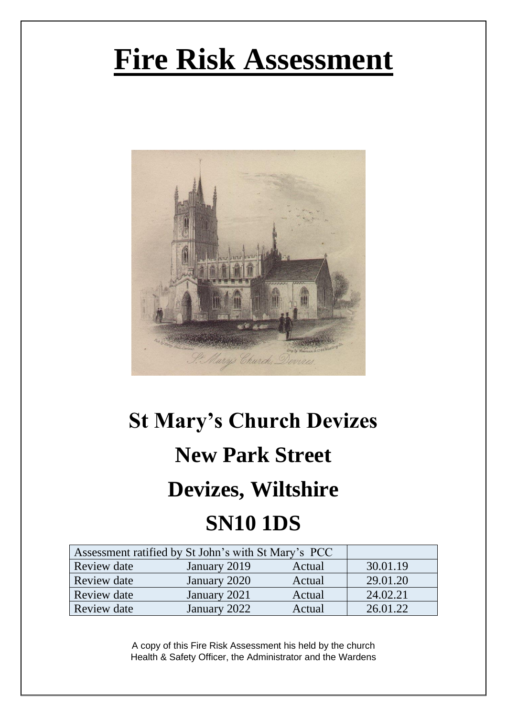# **Fire Risk Assessment**



## **St Mary's Church Devizes New Park Street Devizes, Wiltshire SN10 1DS**

| Assessment ratified by St John's with St Mary's PCC |              |        |          |
|-----------------------------------------------------|--------------|--------|----------|
| Review date                                         | January 2019 | Actual | 30.01.19 |
| Review date                                         | January 2020 | Actual | 29.01.20 |
| Review date                                         | January 2021 | Actual | 24.02.21 |
| Review date                                         | January 2022 | Actual | 26 01 22 |

A copy of this Fire Risk Assessment his held by the church Health & Safety Officer, the Administrator and the Wardens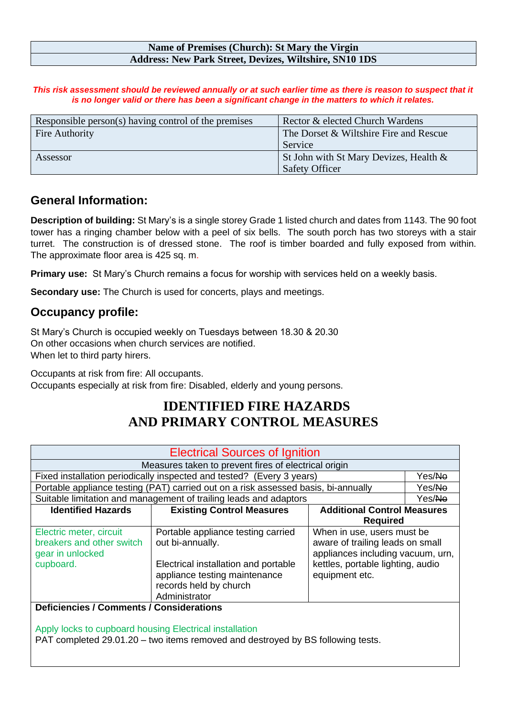#### **Name of Premises (Church): St Mary the Virgin Address: New Park Street, Devizes, Wiltshire, SN10 1DS**

This risk assessment should be reviewed annually or at such earlier time as there is reason to suspect that it *is no longer valid or there has been a significant change in the matters to which it relates.*

| Responsible person(s) having control of the premises | Rector & elected Church Wardens        |
|------------------------------------------------------|----------------------------------------|
| Fire Authority                                       | The Dorset & Wiltshire Fire and Rescue |
|                                                      | Service                                |
| Assessor                                             | St John with St Mary Devizes, Health & |
|                                                      | <b>Safety Officer</b>                  |

### **General Information:**

**Description of building:** St Mary's is a single storey Grade 1 listed church and dates from 1143. The 90 foot tower has a ringing chamber below with a peel of six bells. The south porch has two storeys with a stair turret. The construction is of dressed stone. The roof is timber boarded and fully exposed from within. The approximate floor area is 425 sq. m.

**Primary use:** St Mary's Church remains a focus for worship with services held on a weekly basis.

**Secondary use:** The Church is used for concerts, plays and meetings.

### **Occupancy profile:**

St Mary's Church is occupied weekly on Tuesdays between 18.30 & 20.30 On other occasions when church services are notified. When let to third party hirers.

Occupants at risk from fire: All occupants. Occupants especially at risk from fire: Disabled, elderly and young persons.

### **IDENTIFIED FIRE HAZARDS AND PRIMARY CONTROL MEASURES**

| <b>Electrical Sources of Ignition</b>                                                 |                                                                                                                                                                            |                                                                                                                                                            |        |
|---------------------------------------------------------------------------------------|----------------------------------------------------------------------------------------------------------------------------------------------------------------------------|------------------------------------------------------------------------------------------------------------------------------------------------------------|--------|
| Measures taken to prevent fires of electrical origin                                  |                                                                                                                                                                            |                                                                                                                                                            |        |
| Fixed installation periodically inspected and tested? (Every 3 years)                 |                                                                                                                                                                            |                                                                                                                                                            | Yes/No |
|                                                                                       | Portable appliance testing (PAT) carried out on a risk assessed basis, bi-annually                                                                                         |                                                                                                                                                            | Yes/No |
|                                                                                       | Suitable limitation and management of trailing leads and adaptors                                                                                                          |                                                                                                                                                            | Yes/No |
| <b>Identified Hazards</b>                                                             | <b>Existing Control Measures</b>                                                                                                                                           | <b>Additional Control Measures</b>                                                                                                                         |        |
|                                                                                       |                                                                                                                                                                            | <b>Required</b>                                                                                                                                            |        |
| Electric meter, circuit<br>breakers and other switch<br>gear in unlocked<br>cupboard. | Portable appliance testing carried<br>out bi-annually.<br>Electrical installation and portable<br>appliance testing maintenance<br>records held by church<br>Administrator | When in use, users must be<br>aware of trailing leads on small<br>appliances including vacuum, urn,<br>kettles, portable lighting, audio<br>equipment etc. |        |
| <b>Deficiencies / Comments / Considerations</b>                                       |                                                                                                                                                                            |                                                                                                                                                            |        |
| Apply locks to cupboard housing Electrical installation                               |                                                                                                                                                                            |                                                                                                                                                            |        |

PAT completed 29.01.20 – two items removed and destroyed by BS following tests.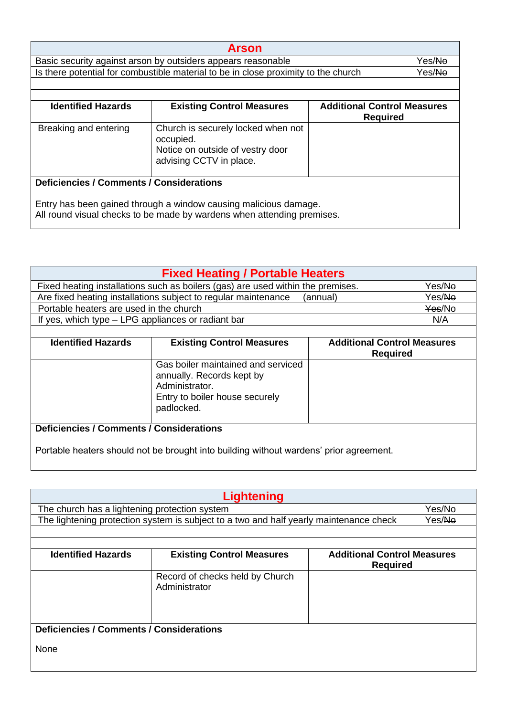| <b>Arson</b>                                                                                                                                                                                  |                                                                                                                |  |                    |
|-----------------------------------------------------------------------------------------------------------------------------------------------------------------------------------------------|----------------------------------------------------------------------------------------------------------------|--|--------------------|
|                                                                                                                                                                                               | Basic security against arson by outsiders appears reasonable                                                   |  | Yes/ <del>No</del> |
|                                                                                                                                                                                               | Is there potential for combustible material to be in close proximity to the church                             |  | Yes/ <del>No</del> |
|                                                                                                                                                                                               |                                                                                                                |  |                    |
|                                                                                                                                                                                               |                                                                                                                |  |                    |
| <b>Existing Control Measures</b><br><b>Identified Hazards</b><br><b>Additional Control Measures</b><br><b>Required</b>                                                                        |                                                                                                                |  |                    |
| Breaking and entering                                                                                                                                                                         | Church is securely locked when not<br>occupied.<br>Notice on outside of vestry door<br>advising CCTV in place. |  |                    |
| <b>Deficiencies / Comments / Considerations</b><br>Entry has been gained through a window causing malicious damage.<br>All round visual checks to be made by wardens when attending premises. |                                                                                                                |  |                    |

| <b>Fixed Heating / Portable Heaters</b>                                                             |                                                                                                                                   |          |                    |  |
|-----------------------------------------------------------------------------------------------------|-----------------------------------------------------------------------------------------------------------------------------------|----------|--------------------|--|
| Fixed heating installations such as boilers (gas) are used within the premises.                     |                                                                                                                                   |          | Yes/ <del>No</del> |  |
|                                                                                                     | Are fixed heating installations subject to regular maintenance                                                                    | (annual) | Yes/ <del>No</del> |  |
| Portable heaters are used in the church                                                             |                                                                                                                                   |          | Yes/No             |  |
| If yes, which type – LPG appliances or radiant bar                                                  |                                                                                                                                   |          | N/A                |  |
|                                                                                                     |                                                                                                                                   |          |                    |  |
| <b>Identified Hazards</b><br><b>Additional Control Measures</b><br><b>Existing Control Measures</b> |                                                                                                                                   |          |                    |  |
|                                                                                                     | <b>Required</b>                                                                                                                   |          |                    |  |
|                                                                                                     | Gas boiler maintained and serviced<br>annually. Records kept by<br>Administrator.<br>Entry to boiler house securely<br>padlocked. |          |                    |  |
| <b>Deficiencies / Comments / Considerations</b>                                                     |                                                                                                                                   |          |                    |  |
| Portable heaters should not be brought into building without wardens' prior agreement.              |                                                                                                                                   |          |                    |  |

| <b>Lightening</b>                               |                                                                                        |                                    |        |
|-------------------------------------------------|----------------------------------------------------------------------------------------|------------------------------------|--------|
| The church has a lightening protection system   |                                                                                        |                                    | Yes/No |
|                                                 | The lightening protection system is subject to a two and half yearly maintenance check |                                    | Yes/No |
|                                                 |                                                                                        |                                    |        |
|                                                 |                                                                                        |                                    |        |
| <b>Identified Hazards</b>                       | <b>Existing Control Measures</b>                                                       | <b>Additional Control Measures</b> |        |
|                                                 |                                                                                        | <b>Required</b>                    |        |
|                                                 | Record of checks held by Church                                                        |                                    |        |
|                                                 | Administrator                                                                          |                                    |        |
|                                                 |                                                                                        |                                    |        |
|                                                 |                                                                                        |                                    |        |
|                                                 |                                                                                        |                                    |        |
| <b>Deficiencies / Comments / Considerations</b> |                                                                                        |                                    |        |
| None                                            |                                                                                        |                                    |        |
|                                                 |                                                                                        |                                    |        |
|                                                 |                                                                                        |                                    |        |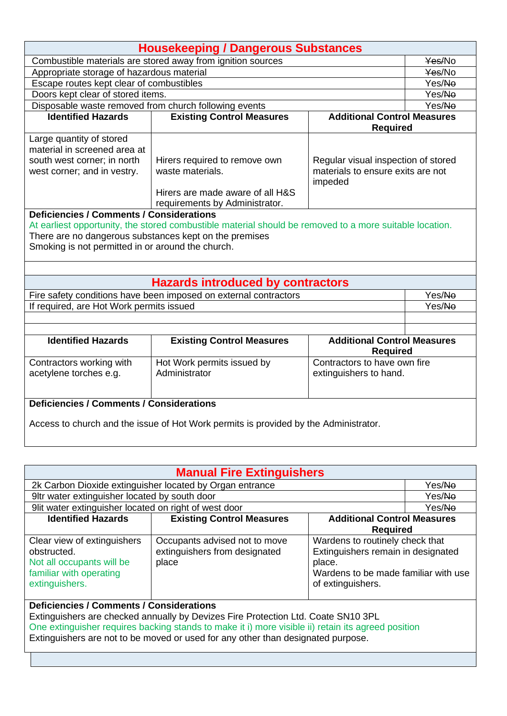| <b>Housekeeping / Dangerous Substances</b>                                           |                                                                                                         |                                                       |        |
|--------------------------------------------------------------------------------------|---------------------------------------------------------------------------------------------------------|-------------------------------------------------------|--------|
| Combustible materials are stored away from ignition sources                          |                                                                                                         |                                                       | Yes/No |
| Appropriate storage of hazardous material                                            |                                                                                                         |                                                       | Yes/No |
| Escape routes kept clear of combustibles                                             |                                                                                                         |                                                       | Yes/No |
| Doors kept clear of stored items.                                                    |                                                                                                         |                                                       | Yes/No |
| Disposable waste removed from church following events                                |                                                                                                         |                                                       | Yes/No |
| <b>Identified Hazards</b>                                                            | <b>Existing Control Measures</b>                                                                        | <b>Additional Control Measures</b>                    |        |
|                                                                                      |                                                                                                         | <b>Required</b>                                       |        |
| Large quantity of stored                                                             |                                                                                                         |                                                       |        |
| material in screened area at                                                         |                                                                                                         |                                                       |        |
| south west corner; in north                                                          | Hirers required to remove own                                                                           | Regular visual inspection of stored                   |        |
| west corner; and in vestry.                                                          | waste materials.                                                                                        | materials to ensure exits are not<br>impeded          |        |
|                                                                                      | Hirers are made aware of all H&S                                                                        |                                                       |        |
|                                                                                      | requirements by Administrator.                                                                          |                                                       |        |
| <b>Deficiencies / Comments / Considerations</b>                                      |                                                                                                         |                                                       |        |
|                                                                                      | At earliest opportunity, the stored combustible material should be removed to a more suitable location. |                                                       |        |
| There are no dangerous substances kept on the premises                               |                                                                                                         |                                                       |        |
| Smoking is not permitted in or around the church.                                    |                                                                                                         |                                                       |        |
|                                                                                      |                                                                                                         |                                                       |        |
|                                                                                      |                                                                                                         |                                                       |        |
|                                                                                      | <b>Hazards introduced by contractors</b>                                                                |                                                       |        |
|                                                                                      | Fire safety conditions have been imposed on external contractors                                        |                                                       | Yes/No |
| If required, are Hot Work permits issued                                             |                                                                                                         |                                                       | Yes/No |
|                                                                                      |                                                                                                         |                                                       |        |
|                                                                                      |                                                                                                         |                                                       |        |
| <b>Identified Hazards</b>                                                            | <b>Existing Control Measures</b>                                                                        | <b>Additional Control Measures</b><br><b>Required</b> |        |
| Contractors working with                                                             | Hot Work permits issued by                                                                              | Contractors to have own fire                          |        |
| acetylene torches e.g.                                                               | Administrator                                                                                           | extinguishers to hand.                                |        |
|                                                                                      |                                                                                                         |                                                       |        |
| <b>Deficiencies / Comments / Considerations</b>                                      |                                                                                                         |                                                       |        |
|                                                                                      |                                                                                                         |                                                       |        |
| Access to church and the issue of Hot Work permits is provided by the Administrator. |                                                                                                         |                                                       |        |

| <b>Manual Fire Extinguishers</b>                                                                                                                                                                                                                                                                                               |                                                                         |                                                                                                                                              |                    |
|--------------------------------------------------------------------------------------------------------------------------------------------------------------------------------------------------------------------------------------------------------------------------------------------------------------------------------|-------------------------------------------------------------------------|----------------------------------------------------------------------------------------------------------------------------------------------|--------------------|
| 2k Carbon Dioxide extinguisher located by Organ entrance                                                                                                                                                                                                                                                                       |                                                                         |                                                                                                                                              | Yes/ <del>No</del> |
| 9ltr water extinguisher located by south door                                                                                                                                                                                                                                                                                  |                                                                         |                                                                                                                                              | Yes/No             |
| 9lit water extinguisher located on right of west door                                                                                                                                                                                                                                                                          |                                                                         |                                                                                                                                              | Yes/ <del>No</del> |
| <b>Identified Hazards</b>                                                                                                                                                                                                                                                                                                      | <b>Existing Control Measures</b>                                        | <b>Additional Control Measures</b>                                                                                                           |                    |
|                                                                                                                                                                                                                                                                                                                                |                                                                         | <b>Required</b>                                                                                                                              |                    |
| Clear view of extinguishers<br>obstructed.<br>Not all occupants will be<br>familiar with operating<br>extinguishers.                                                                                                                                                                                                           | Occupants advised not to move<br>extinguishers from designated<br>place | Wardens to routinely check that<br>Extinguishers remain in designated<br>place.<br>Wardens to be made familiar with use<br>of extinguishers. |                    |
| <b>Deficiencies / Comments / Considerations</b><br>Extinguishers are checked annually by Devizes Fire Protection Ltd. Coate SN10 3PL<br>One extinguisher requires backing stands to make it i) more visible ii) retain its agreed position<br>Extinguishers are not to be moved or used for any other than designated purpose. |                                                                         |                                                                                                                                              |                    |
|                                                                                                                                                                                                                                                                                                                                |                                                                         |                                                                                                                                              |                    |